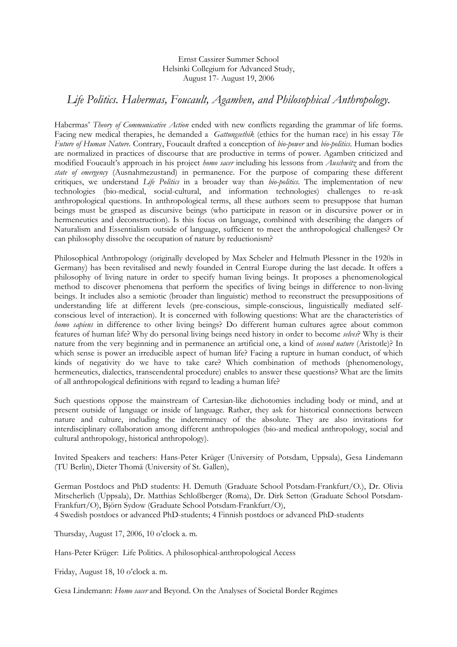Ernst Cassirer Summer School Helsinki Collegium for Advanced Study, August 17- August 19, 2006

## *Life Politics. Habermas, Foucault, Agamben, and Philosophical Anthropology.*

Habermas' *Theory of Communicative Action* ended with new conflicts regarding the grammar of life forms. Facing new medical therapies, he demanded a *Gattungsethik* (ethics for the human race) in his essay *The Future of Human Nature*. Contrary, Foucault drafted a conception of *bio-power* and *bio-politics*. Human bodies are normalized in practices of discourse that are productive in terms of power. Agamben criticized and modified Foucault's approach in his project *homo sacer* including his lessons from *Auschwitz* and from the *state of emergency* (Ausnahmezustand) in permanence. For the purpose of comparing these different critiques, we understand *Life Politics* in a broader way than *bio-politics*. The implementation of new technologies (bio-medical, social-cultural, and information technologies) challenges to re-ask anthropological questions. In anthropological terms, all these authors seem to presuppose that human beings must be grasped as discursive beings (who participate in reason or in discursive power or in hermeneutics and deconstruction). Is this focus on language, combined with describing the dangers of Naturalism and Essentialism outside of language, sufficient to meet the anthropological challenges? Or can philosophy dissolve the occupation of nature by reductionism?

Philosophical Anthropology (originally developed by Max Scheler and Helmuth Plessner in the 1920s in Germany) has been revitalised and newly founded in Central Europe during the last decade. It offers a philosophy of living nature in order to specify human living beings. It proposes a phenomenological method to discover phenomena that perform the specifics of living beings in difference to non-living beings. It includes also a semiotic (broader than linguistic) method to reconstruct the presuppositions of understanding life at different levels (pre-conscious, simple-conscious, linguistically mediated selfconscious level of interaction). It is concerned with following questions: What are the characteristics of *homo sapiens* in difference to other living beings? Do different human cultures agree about common features of human life? Why do personal living beings need history in order to become *selves*? Why is their nature from the very beginning and in permanence an artificial one, a kind of *second nature* (Aristotle)? In which sense is power an irreducible aspect of human life? Facing a rupture in human conduct, of which kinds of negativity do we have to take care? Which combination of methods (phenomenology, hermeneutics, dialectics, transcendental procedure) enables to answer these questions? What are the limits of all anthropological definitions with regard to leading a human life?

Such questions oppose the mainstream of Cartesian-like dichotomies including body or mind, and at present outside of language or inside of language. Rather, they ask for historical connections between nature and culture, including the indeterminacy of the absolute. They are also invitations for interdisciplinary collaboration among different anthropologies (bio-and medical anthropology, social and cultural anthropology, historical anthropology).

Invited Speakers and teachers: Hans-Peter Krüger (University of Potsdam, Uppsala), Gesa Lindemann (TU Berlin), Dieter Thomä (University of St. Gallen),

German Postdocs and PhD students: H. Demuth (Graduate School Potsdam-Frankfurt/O.), Dr. Olivia Mitscherlich (Uppsala), Dr. Matthias Schloßberger (Roma), Dr. Dirk Setton (Graduate School Potsdam-Frankfurt/O), Björn Sydow (Graduate School Potsdam-Frankfurt/O), 4 Swedish postdocs or advanced PhD-students; 4 Finnish postdocs or advanced PhD-students

Thursday, August 17, 2006, 10 o'clock a. m.

Hans-Peter Krüger: Life Politics. A philosophical-anthropological Access

Friday, August 18, 10 o'clock a. m.

Gesa Lindemann: *Homo sacer* and Beyond. On the Analyses of Societal Border Regimes